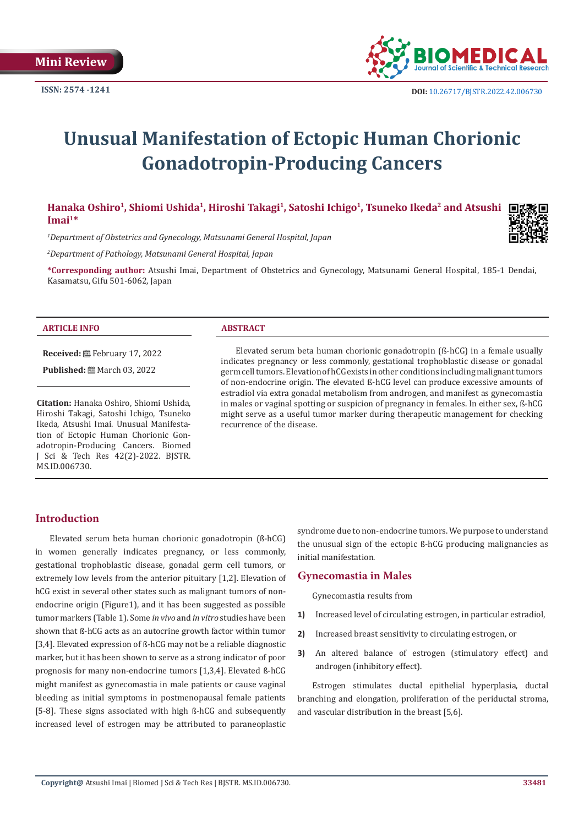

# **Unusual Manifestation of Ectopic Human Chorionic Gonadotropin-Producing Cancers**

Hanaka Oshiro<sup>1</sup>, Shiomi Ushida<sup>1</sup>, Hiroshi Takagi<sup>1</sup>, Satoshi Ichigo<sup>1</sup>, Tsuneko Ikeda<sup>2</sup> and Atsushi □ **Imai1\***

*1 Department of Obstetrics and Gynecology, Matsunami General Hospital, Japan*

*2 Department of Pathology, Matsunami General Hospital, Japan*

**\*Corresponding author:** Atsushi Imai, Department of Obstetrics and Gynecology, Matsunami General Hospital, 185-1 Dendai, Kasamatsu, Gifu 501-6062, Japan

#### **ARTICLE INFO ABSTRACT**

**Received:** February 17, 2022

**Published:** March 03, 2022

**Citation:** Hanaka Oshiro, Shiomi Ushida, Hiroshi Takagi, Satoshi Ichigo, Tsuneko Ikeda, Atsushi Imai. Unusual Manifestation of Ectopic Human Chorionic Gonadotropin-Producing Cancers. Biomed J Sci & Tech Res 42(2)-2022. BJSTR. MS.ID.006730.

Elevated serum beta human chorionic gonadotropin (ß-hCG) in a female usually indicates pregnancy or less commonly, gestational trophoblastic disease or gonadal germ cell tumors. Elevation of hCG exists in other conditions including malignant tumors of non-endocrine origin. The elevated ß-hCG level can produce excessive amounts of estradiol via extra gonadal metabolism from androgen, and manifest as gynecomastia in males or vaginal spotting or suspicion of pregnancy in females. In either sex, ß-hCG might serve as a useful tumor marker during therapeutic management for checking recurrence of the disease.

# **Introduction**

Elevated serum beta human chorionic gonadotropin (ß-hCG) in women generally indicates pregnancy, or less commonly, gestational trophoblastic disease, gonadal germ cell tumors, or extremely low levels from the anterior pituitary [1,2]. Elevation of hCG exist in several other states such as malignant tumors of nonendocrine origin (Figure1), and it has been suggested as possible tumor markers (Table 1). Some *in vivo* and *in vitro* studies have been shown that ß-hCG acts as an autocrine growth factor within tumor [3,4]. Elevated expression of ß-hCG may not be a reliable diagnostic marker, but it has been shown to serve as a strong indicator of poor prognosis for many non-endocrine tumors [1,3,4]. Elevated ß-hCG might manifest as gynecomastia in male patients or cause vaginal bleeding as initial symptoms in postmenopausal female patients [5-8]. These signs associated with high ß-hCG and subsequently increased level of estrogen may be attributed to paraneoplastic syndrome due to non-endocrine tumors. We purpose to understand the unusual sign of the ectopic ß-hCG producing malignancies as initial manifestation.

### **Gynecomastia in Males**

Gynecomastia results from

- **1)** Increased level of circulating estrogen, in particular estradiol,
- **2)** Increased breast sensitivity to circulating estrogen, or
- **3)** An altered balance of estrogen (stimulatory effect) and androgen (inhibitory effect).

Estrogen stimulates ductal epithelial hyperplasia, ductal branching and elongation, proliferation of the periductal stroma, and vascular distribution in the breast [5,6].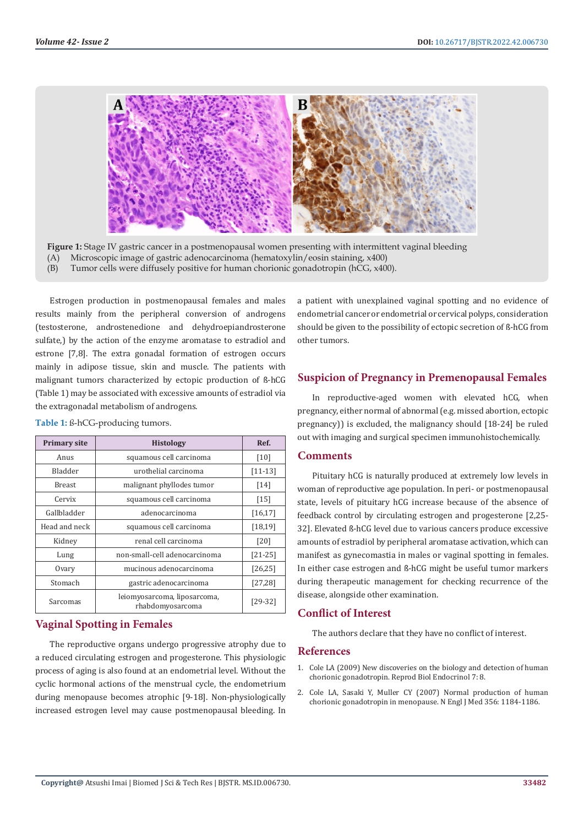

**Figure 1:** Stage IV gastric cancer in a postmenopausal women presenting with intermittent vaginal bleeding (A) Microscopic image of gastric adenocarcinoma (hematoxylin/eosin staining, x400)

(B) Tumor cells were diffusely positive for human chorionic gonadotropin (hCG, x400).

Estrogen production in postmenopausal females and males results mainly from the peripheral conversion of androgens (testosterone, androstenedione and dehydroepiandrosterone sulfate,) by the action of the enzyme aromatase to estradiol and estrone [7,8]. The extra gonadal formation of estrogen occurs mainly in adipose tissue, skin and muscle. The patients with malignant tumors characterized by ectopic production of ß-hCG (Table 1) may be associated with excessive amounts of estradiol via the extragonadal metabolism of androgens.

| <b>Primary site</b> | <b>Histology</b>                                 | Ref.      |
|---------------------|--------------------------------------------------|-----------|
| Anus                | squamous cell carcinoma                          | [10]      |
| Bladder             | urothelial carcinoma                             | $[11-13]$ |
| <b>Breast</b>       | malignant phyllodes tumor                        | [14]      |
| Cervix              | squamous cell carcinoma                          | [15]      |
| Gallbladder         | adenocarcinoma                                   | [16, 17]  |
| Head and neck       | squamous cell carcinoma                          | [18, 19]  |
| Kidney              | renal cell carcinoma                             | [20]      |
| Lung                | non-small-cell adenocarcinoma                    | $[21-25]$ |
| Ovary               | mucinous adenocarcinoma                          | [26, 25]  |
| Stomach             | gastric adenocarcinoma                           | [27, 28]  |
| Sarcomas            | leiomyosarcoma, liposarcoma,<br>rhabdomyosarcoma | $[29-32]$ |

**Table 1:** ß-hCG-producing tumors.

# **Vaginal Spotting in Females**

The reproductive organs undergo progressive atrophy due to a reduced circulating estrogen and progesterone. This physiologic process of aging is also found at an endometrial level. Without the cyclic hormonal actions of the menstrual cycle, the endometrium during menopause becomes atrophic [9-18]. Non-physiologically increased estrogen level may cause postmenopausal bleeding. In

a patient with unexplained vaginal spotting and no evidence of endometrial cancer or endometrial or cervical polyps, consideration should be given to the possibility of ectopic secretion of ß-hCG from other tumors.

# **Suspicion of Pregnancy in Premenopausal Females**

In reproductive-aged women with elevated hCG, when pregnancy, either normal of abnormal (e.g. missed abortion, ectopic pregnancy)) is excluded, the malignancy should [18-24] be ruled out with imaging and surgical specimen immunohistochemically.

### **Comments**

Pituitary hCG is naturally produced at extremely low levels in woman of reproductive age population. In peri- or postmenopausal state, levels of pituitary hCG increase because of the absence of feedback control by circulating estrogen and progesterone [2,25- 32]. Elevated ß-hCG level due to various cancers produce excessive amounts of estradiol by peripheral aromatase activation, which can manifest as gynecomastia in males or vaginal spotting in females. In either case estrogen and ß-hCG might be useful tumor markers during therapeutic management for checking recurrence of the disease, alongside other examination.

# **Conflict of Interest**

The authors declare that they have no conflict of interest.

### **References**

- 1. [Cole LA \(2009\) New discoveries on the biology and detection of human](https://www.ncbi.nlm.nih.gov/labs/pmc/articles/PMC2649930/) [chorionic gonadotropin. Reprod Biol Endocrinol 7: 8.](https://www.ncbi.nlm.nih.gov/labs/pmc/articles/PMC2649930/)
- 2. [Cole LA, Sasaki Y, Muller CY \(2007\) Normal production of human](https://www.nejm.org/doi/full/10.1056/nejmc066500) [chorionic gonadotropin in menopause. N Engl J Med 356: 1184-1186.](https://www.nejm.org/doi/full/10.1056/nejmc066500)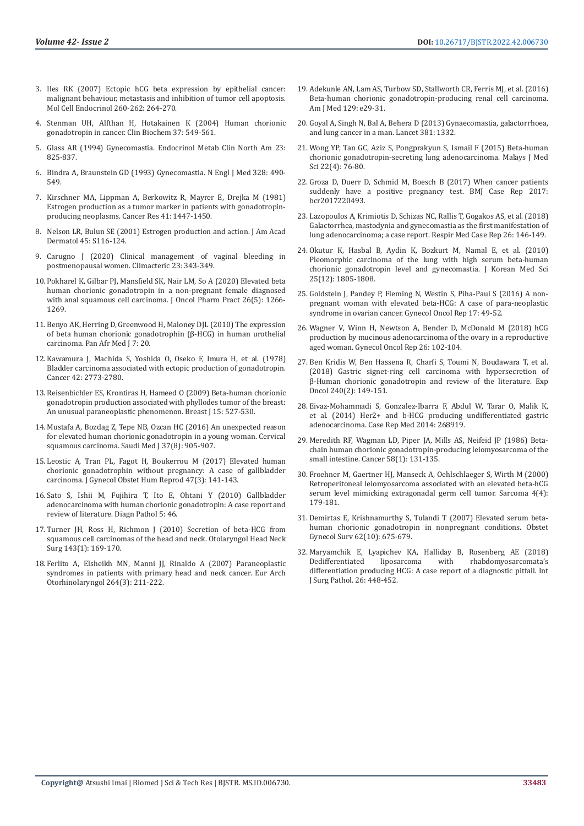- 3. [Iles RK \(2007\) Ectopic hCG beta expression by epithelial cancer:](https://pubmed.ncbi.nlm.nih.gov/17069968/)  [malignant behaviour, metastasis and inhibition of tumor cell apoptosis.](https://pubmed.ncbi.nlm.nih.gov/17069968/)  [Mol Cell Endocrinol 260-262: 264-270.](https://pubmed.ncbi.nlm.nih.gov/17069968/)
- 4. [Stenman UH, Alfthan H, Hotakainen K \(2004\) Human chorionic](https://pubmed.ncbi.nlm.nih.gov/15234236/)  [gonadotropin in cancer. Clin Biochem 37: 549-561.](https://pubmed.ncbi.nlm.nih.gov/15234236/)
- 5. Glass AR (1994) Gynecomastia. Endocrinol Metab Clin North Am 23: 825-837.
- 6. Bindra A, Braunstein GD (1993) Gynecomastia. N Engl J Med 328: 490- 549.
- 7. [Kirschner MA, Lippman A, Berkowitz R, Mayrer E, Drejka M \(1981\)](https://pubmed.ncbi.nlm.nih.gov/6452197/)  [Estrogen production as a tumor marker in patients with gonadotropin](https://pubmed.ncbi.nlm.nih.gov/6452197/)[producing neoplasms. Cancer Res 41: 1447-1450.](https://pubmed.ncbi.nlm.nih.gov/6452197/)
- 8. [Nelson LR, Bulun SE \(2001\) Estrogen production and action. J Am Acad](https://pubmed.ncbi.nlm.nih.gov/11511861/)  [Dermatol 45: S116-124.](https://pubmed.ncbi.nlm.nih.gov/11511861/)
- 9. [Carugno J \(2020\) Clinical management of vaginal bleeding in](https://pubmed.ncbi.nlm.nih.gov/32233689/)  [postmenopausal women. Climacteric 23: 343-349.](https://pubmed.ncbi.nlm.nih.gov/32233689/)
- 10. [Pokharel K, Gilbar PJ, Mansfield SK, Nair LM, So A \(2020\) Elevated beta](https://pubmed.ncbi.nlm.nih.gov/31840564/)  [human chorionic gonadotropin in a non-pregnant female diagnosed](https://pubmed.ncbi.nlm.nih.gov/31840564/)  [with anal squamous cell carcinoma. J Oncol Pharm Pract 26\(5\): 1266-](https://pubmed.ncbi.nlm.nih.gov/31840564/) [1269.](https://pubmed.ncbi.nlm.nih.gov/31840564/)
- 11. Benyo AK, Herring D, Greenwood H, Maloney DJL (2010) The expression of beta human chorionic gonadotrophin (β-HCG) in human urothelial carcinoma. Pan Afr Med J 7: 20.
- 12. [Kawamura J, Machida S, Yoshida O, Oseko F, Imura H, et al. \(1978\)](https://acsjournals.onlinelibrary.wiley.com/doi/pdf/10.1002/1097-0142(197812)42:6%3C2773::AID-CNCR2820420637%3E3.0.CO;2-9)  [Bladder carcinoma associated with ectopic production of gonadotropin.](https://acsjournals.onlinelibrary.wiley.com/doi/pdf/10.1002/1097-0142(197812)42:6%3C2773::AID-CNCR2820420637%3E3.0.CO;2-9)  [Cancer 42: 2773-2780.](https://acsjournals.onlinelibrary.wiley.com/doi/pdf/10.1002/1097-0142(197812)42:6%3C2773::AID-CNCR2820420637%3E3.0.CO;2-9)
- 13. [Reisenbichler ES, Krontiras H, Hameed O \(2009\) Beta-human chorionic](https://acsjournals.onlinelibrary.wiley.com/doi/pdf/10.1002/1097-0142(197812)42:6%3C2773::AID-CNCR2820420637%3E3.0.CO;2-9)  [gonadotropin production associated with phyllodes tumor of the breast:](https://acsjournals.onlinelibrary.wiley.com/doi/pdf/10.1002/1097-0142(197812)42:6%3C2773::AID-CNCR2820420637%3E3.0.CO;2-9)  [An unusual paraneoplastic phenomenon. Breast J 15: 527-530.](https://acsjournals.onlinelibrary.wiley.com/doi/pdf/10.1002/1097-0142(197812)42:6%3C2773::AID-CNCR2820420637%3E3.0.CO;2-9)
- 14. [Mustafa A, Bozdag Z, Tepe NB, Ozcan HC \(2016\) An unexpected reason](https://pubmed.ncbi.nlm.nih.gov/27464870/)  [for elevated human chorionic gonadotropin in a young woman. Cervical](https://pubmed.ncbi.nlm.nih.gov/27464870/)  [squamous carcinoma. Saudi Med J 37\(8\): 905-907.](https://pubmed.ncbi.nlm.nih.gov/27464870/)
- 15. [Leostic A, Tran PL, Fagot H, Boukerrou M \(2017\) Elevated human](https://pubmed.ncbi.nlm.nih.gov/29292237/)  [chorionic gonadotrophin without pregnancy: A case of gallbladder](https://pubmed.ncbi.nlm.nih.gov/29292237/)  [carcinoma. J Gynecol Obstet Hum Reprod 47\(3\): 141-143.](https://pubmed.ncbi.nlm.nih.gov/29292237/)
- 16. [Sato S, Ishii M, Fujihira T, Ito E, Ohtani Y \(2010\) Gallbladder](https://diagnosticpathology.biomedcentral.com/articles/10.1186/1746-1596-5-46)  [adenocarcinoma with human chorionic gonadotropin: A case report and](https://diagnosticpathology.biomedcentral.com/articles/10.1186/1746-1596-5-46)  [review of literature. Diagn Pathol 5: 46.](https://diagnosticpathology.biomedcentral.com/articles/10.1186/1746-1596-5-46)
- 17. [Turner JH, Ross H, Richmon J \(2010\) Secretion of beta-HCG from](https://pubmed.ncbi.nlm.nih.gov/20620641/)  [squamous cell carcinomas of the head and neck. Otolaryngol Head Neck](https://pubmed.ncbi.nlm.nih.gov/20620641/)  [Surg 143\(1\): 169-170.](https://pubmed.ncbi.nlm.nih.gov/20620641/)
- 18. [Ferlito A, Elsheikh MN, Manni JJ, Rinaldo A \(2007\) Paraneoplastic](https://pubmed.ncbi.nlm.nih.gov/17206403/)  [syndromes in patients with primary head and neck cancer. Eur Arch](https://pubmed.ncbi.nlm.nih.gov/17206403/)  [Otorhinolaryngol 264\(3\): 211-222.](https://pubmed.ncbi.nlm.nih.gov/17206403/)
- 19. [Adekunle AN, Lam AS, Turbow SD, Stallworth CR, Ferris MJ, et al. \(2016\)](https://www.amjmed.com/article/S0002-9343(15)01044-X/pdf) [Beta-human chorionic gonadotropin-producing renal cell carcinoma.](https://www.amjmed.com/article/S0002-9343(15)01044-X/pdf) [Am J Med 129: e29-31.](https://www.amjmed.com/article/S0002-9343(15)01044-X/pdf)
- 20. [Goyal A, Singh N, Bal A, Behera D \(2013\) Gynaecomastia, galactorrhoea,](https://www.thelancet.com/journals/lancet/article/PIIS0140-6736(13)60181-6/fulltext) [and lung cancer in a man. Lancet 381: 1332.](https://www.thelancet.com/journals/lancet/article/PIIS0140-6736(13)60181-6/fulltext)
- 21. Wong YP, Tan GC, Aziz S, Pongprakyun S, Ismail F (2015) Beta-human chorionic gonadotropin-secreting lung adenocarcinoma. Malays J Med Sci 22(4): 76-80.
- 22. [Groza D, Duerr D, Schmid M, Boesch B \(2017\) When cancer patients](https://casereports.bmj.com/content/2017/bcr-2017-220493) [suddenly have a positive pregnancy test. BMJ Case Rep 2017:](https://casereports.bmj.com/content/2017/bcr-2017-220493) [bcr2017220493.](https://casereports.bmj.com/content/2017/bcr-2017-220493)
- 23. [Lazopoulos A, Krimiotis D, Schizas NC, Rallis T, Gogakos AS, et al. \(2018\)](https://pubmed.ncbi.nlm.nih.gov/30603606/) [Galactorrhea, mastodynia and gynecomastia as the first manifestation of](https://pubmed.ncbi.nlm.nih.gov/30603606/) [lung adenocarcinoma; a case report. Respir Med Case Rep 26: 146-149.](https://pubmed.ncbi.nlm.nih.gov/30603606/)
- 24. [Okutur K, Hasbal B, Aydin K, Bozkurt M, Namal E, et al. \(2010\)](https://www.ncbi.nlm.nih.gov/labs/pmc/articles/PMC2995238/) [Pleomorphic carcinoma of the lung with high serum beta-human](https://www.ncbi.nlm.nih.gov/labs/pmc/articles/PMC2995238/) [chorionic gonadotropin level and gynecomastia. J Korean Med Sci](https://www.ncbi.nlm.nih.gov/labs/pmc/articles/PMC2995238/) [25\(12\): 1805-1808.](https://www.ncbi.nlm.nih.gov/labs/pmc/articles/PMC2995238/)
- 25. [Goldstein J, Pandey P, Fleming N, Westin S, Piha-Paul S \(2016\) A non](https://pubmed.ncbi.nlm.nih.gov/27355002/)[pregnant woman with elevated beta-HCG: A case of para-neoplastic](https://pubmed.ncbi.nlm.nih.gov/27355002/) [syndrome in ovarian cancer. Gynecol Oncol Rep 17: 49-52.](https://pubmed.ncbi.nlm.nih.gov/27355002/)
- 26. [Wagner V, Winn H, Newtson A, Bender D, McDonald M \(2018\) hCG](https://pubmed.ncbi.nlm.nih.gov/30533474/) [production by mucinous adenocarcinoma of the ovary in a reproductive](https://pubmed.ncbi.nlm.nih.gov/30533474/) [aged woman. Gynecol Oncol Rep 26: 102-104.](https://pubmed.ncbi.nlm.nih.gov/30533474/)
- 27. [Ben Kridis W, Ben Hassena R, Charfi S, Toumi N, Boudawara T, et al.](https://pubmed.ncbi.nlm.nih.gov/29949529/) [\(2018\) Gastric signet-ring cell carcinoma with hypersecretion of](https://pubmed.ncbi.nlm.nih.gov/29949529/) [β-Human chorionic gonadotropin and review of the literature. Exp](https://pubmed.ncbi.nlm.nih.gov/29949529/) [Oncol 240\(2\): 149-151.](https://pubmed.ncbi.nlm.nih.gov/29949529/)
- 28. [Eivaz-Mohammadi S, Gonzalez-Ibarra F, Abdul W, Tarar O, Malik K,](https://www.hindawi.com/journals/crim/2014/268919/) [et al. \(2014\) Her2+ and b-HCG producing undifferentiated gastric](https://www.hindawi.com/journals/crim/2014/268919/) [adenocarcinoma. Case Rep Med 2014: 268919.](https://www.hindawi.com/journals/crim/2014/268919/)
- 29. [Meredith RF, Wagman LD, Piper JA, Mills AS, Neifeid JP \(1986\) Beta](https://pubmed.ncbi.nlm.nih.gov/3518909/)[chain human chorionic gonadotropin-producing leiomyosarcoma of the](https://pubmed.ncbi.nlm.nih.gov/3518909/) [small intestine. Cancer 58\(1\): 131-135.](https://pubmed.ncbi.nlm.nih.gov/3518909/)
- 30. [Froehner M, Gaertner HJ, Manseck A, Oehlschlaeger S, Wirth M \(2000\)](https://pubmed.ncbi.nlm.nih.gov/18521299/) [Retroperitoneal leiomyosarcoma associated with an elevated beta-hCG](https://pubmed.ncbi.nlm.nih.gov/18521299/) [serum level mimicking extragonadal germ cell tumor. Sarcoma 4\(4\):](https://pubmed.ncbi.nlm.nih.gov/18521299/) [179-181.](https://pubmed.ncbi.nlm.nih.gov/18521299/)
- 31. [Demirtas E, Krishnamurthy S, Tulandi T \(2007\) Elevated serum beta](https://pubmed.ncbi.nlm.nih.gov/17868483/)[human chorionic gonadotropin in nonpregnant conditions. Obstet](https://pubmed.ncbi.nlm.nih.gov/17868483/) [Gynecol Surv 62\(10\): 675-679.](https://pubmed.ncbi.nlm.nih.gov/17868483/)
- 32. [Maryamchik E, Lyapichev KA, Halliday B, Rosenberg AE \(2018\)](https://pubmed.ncbi.nlm.nih.gov/29532681/) rhabdomyosarcomata's [differentiation producing HCG: A case report of a diagnostic pitfall. Int](https://pubmed.ncbi.nlm.nih.gov/29532681/) [J Surg Pathol. 26: 448-452.](https://pubmed.ncbi.nlm.nih.gov/29532681/)